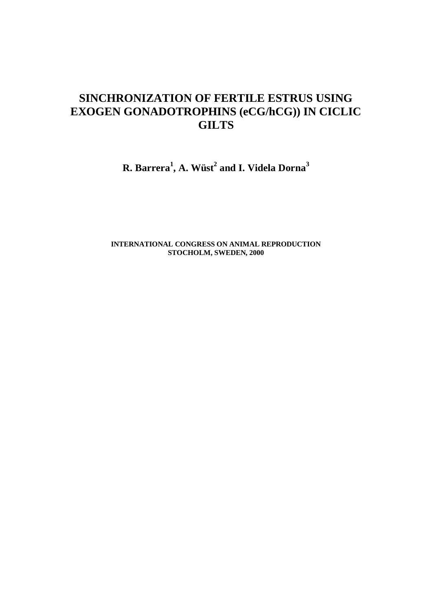# **SINCHRONIZATION OF FERTILE ESTRUS USING EXOGEN GONADOTROPHINS (eCG/hCG)) IN CICLIC GILTS**

**R. Barrera<sup>1</sup> , A. Wüst<sup>2</sup> and I. Videla Dorna<sup>3</sup>**

**INTERNATIONAL CONGRESS ON ANIMAL REPRODUCTION STOCHOLM, SWEDEN, 2000**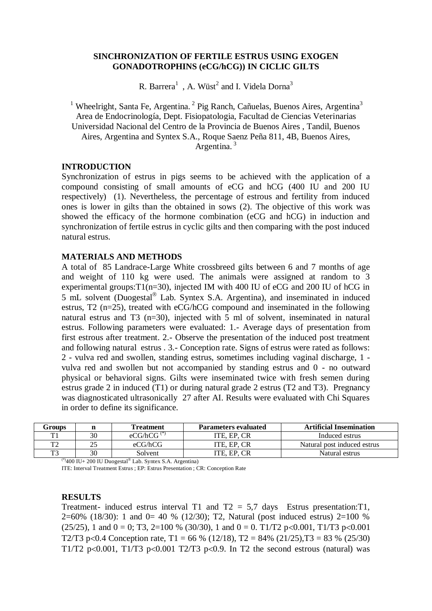# **SINCHRONIZATION OF FERTILE ESTRUS USING EXOGEN GONADOTROPHINS (eCG/hCG)) IN CICLIC GILTS**

R. Barrera<sup>1</sup>, A. Wüst<sup>2</sup> and I. Videla Dorna<sup>3</sup>

<sup>1</sup> Wheelright, Santa Fe, Argentina.<sup>2</sup> Pig Ranch, Cañuelas, Buenos Aires, Argentina<sup>3</sup> Area de Endocrinología, Dept. Fisiopatologia, Facultad de Ciencias Veterinarias Universidad Nacional del Centro de la Provincia de Buenos Aires , Tandil, Buenos Aires, Argentina and Syntex S.A., Roque Saenz Peña 811, 4B, Buenos Aires, Argentina.<sup>3</sup>

## **INTRODUCTION**

Synchronization of estrus in pigs seems to be achieved with the application of a compound consisting of small amounts of eCG and hCG (400 IU and 200 IU respectively) (1). Nevertheless, the percentage of estrous and fertility from induced ones is lower in gilts than the obtained in sows (2). The objective of this work was showed the efficacy of the hormone combination (eCG and hCG) in induction and synchronization of fertile estrus in cyclic gilts and then comparing with the post induced natural estrus.

## **MATERIALS AND METHODS**

A total of 85 Landrace-Large White crossbreed gilts between 6 and 7 months of age and weight of 110 kg were used. The animals were assigned at random to 3 experimental groups:T1(n=30), injected IM with 400 IU of eCG and 200 IU of hCG in 5 mL solvent (Duogestal® Lab. Syntex S.A. Argentina), and inseminated in induced estrus, T2 (n=25), treated with eCG/hCG compound and inseminated in the following natural estrus and T3 (n=30), injected with 5 ml of solvent, inseminated in natural estrus. Following parameters were evaluated: 1.- Average days of presentation from first estrous after treatment. 2.- Observe the presentation of the induced post treatment and following natural estrus . 3.- Conception rate. Signs of estrus were rated as follows: 2 - vulva red and swollen, standing estrus, sometimes including vaginal discharge, 1 vulva red and swollen but not accompanied by standing estrus and 0 - no outward physical or behavioral signs. Gilts were inseminated twice with fresh semen during estrus grade 2 in induced (T1) or during natural grade 2 estrus (T2 and T3). Pregnancy was diagnosticated ultrasonically 27 after AI. Results were evaluated with Chi Squares in order to define its significance.

| Groups |    | <b>Treatment</b> | <b>Parameters evaluated</b> | <b>Artificial Insemination</b> |
|--------|----|------------------|-----------------------------|--------------------------------|
|        | 30 | $eCG/hCG(*)$     | ITE. EP. CR                 | Induced estrus                 |
| ᠇᠇     |    | eCG/hCG          | ITE. EP. CR                 | Natural post induced estrus    |
| ᠇ᡢ     | 30 | Solvent          | 'TE EP.<br>$\cap$           | Natural estrus                 |

 $(*)$ 400 IU+ 200 IU Duogestal® Lab. Syntex S.A. Argentina)

ITE: Interval Treatment Estrus ; EP: Estrus Presentation ; CR: Conception Rate

#### **RESULTS**

Treatment- induced estrus interval T1 and  $T2 = 5.7$  days Estrus presentation: T1, 2=60% (18/30): 1 and 0= 40 % (12/30); T2, Natural (post induced estrus) 2=100 % (25/25), 1 and  $0 = 0$ ; T3, 2=100 % (30/30), 1 and  $0 = 0$ . T1/T2 p<0.001, T1/T3 p<0.001 T2/T3 p<0.4 Conception rate, T1 = 66 % (12/18), T2 = 84% (21/25), T3 = 83 % (25/30) T1/T2 p<0.001, T1/T3 p<0.001 T2/T3 p<0.9. In T2 the second estrous (natural) was